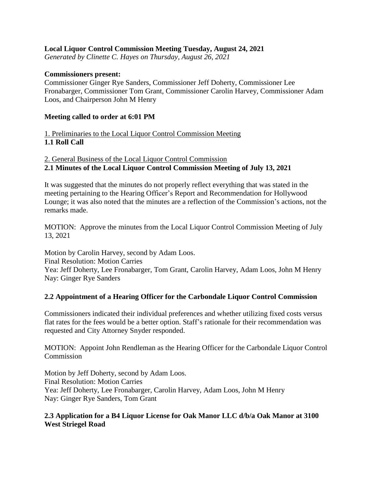### **Local Liquor Control Commission Meeting Tuesday, August 24, 2021**

*Generated by Clinette C. Hayes on Thursday, August 26, 2021*

#### **Commissioners present:**

Commissioner Ginger Rye Sanders, Commissioner Jeff Doherty, Commissioner Lee Fronabarger, Commissioner Tom Grant, Commissioner Carolin Harvey, Commissioner Adam Loos, and Chairperson John M Henry

#### **Meeting called to order at 6:01 PM**

1. Preliminaries to the Local Liquor Control Commission Meeting **1.1 Roll Call**

## 2. General Business of the Local Liquor Control Commission **2.1 Minutes of the Local Liquor Control Commission Meeting of July 13, 2021**

It was suggested that the minutes do not properly reflect everything that was stated in the meeting pertaining to the Hearing Officer's Report and Recommendation for Hollywood Lounge; it was also noted that the minutes are a reflection of the Commission's actions, not the remarks made.

MOTION: Approve the minutes from the Local Liquor Control Commission Meeting of July 13, 2021

Motion by Carolin Harvey, second by Adam Loos. Final Resolution: Motion Carries Yea: Jeff Doherty, Lee Fronabarger, Tom Grant, Carolin Harvey, Adam Loos, John M Henry Nay: Ginger Rye Sanders

# **2.2 Appointment of a Hearing Officer for the Carbondale Liquor Control Commission**

Commissioners indicated their individual preferences and whether utilizing fixed costs versus flat rates for the fees would be a better option. Staff's rationale for their recommendation was requested and City Attorney Snyder responded.

MOTION: Appoint John Rendleman as the Hearing Officer for the Carbondale Liquor Control Commission

Motion by Jeff Doherty, second by Adam Loos. Final Resolution: Motion Carries Yea: Jeff Doherty, Lee Fronabarger, Carolin Harvey, Adam Loos, John M Henry Nay: Ginger Rye Sanders, Tom Grant

#### **2.3 Application for a B4 Liquor License for Oak Manor LLC d/b/a Oak Manor at 3100 West Striegel Road**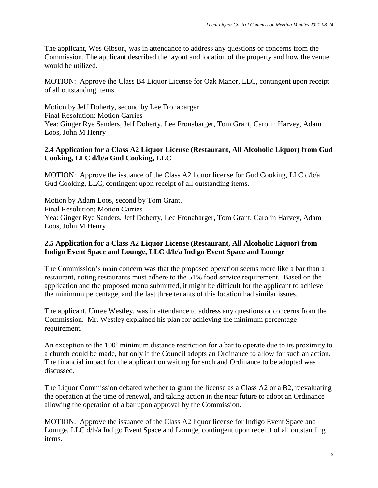The applicant, Wes Gibson, was in attendance to address any questions or concerns from the Commission. The applicant described the layout and location of the property and how the venue would be utilized.

MOTION: Approve the Class B4 Liquor License for Oak Manor, LLC, contingent upon receipt of all outstanding items.

Motion by Jeff Doherty, second by Lee Fronabarger. Final Resolution: Motion Carries Yea: Ginger Rye Sanders, Jeff Doherty, Lee Fronabarger, Tom Grant, Carolin Harvey, Adam Loos, John M Henry

# **2.4 Application for a Class A2 Liquor License (Restaurant, All Alcoholic Liquor) from Gud Cooking, LLC d/b/a Gud Cooking, LLC**

MOTION: Approve the issuance of the Class A2 liquor license for Gud Cooking, LLC d/b/a Gud Cooking, LLC, contingent upon receipt of all outstanding items.

Motion by Adam Loos, second by Tom Grant. Final Resolution: Motion Carries Yea: Ginger Rye Sanders, Jeff Doherty, Lee Fronabarger, Tom Grant, Carolin Harvey, Adam Loos, John M Henry

### **2.5 Application for a Class A2 Liquor License (Restaurant, All Alcoholic Liquor) from Indigo Event Space and Lounge, LLC d/b/a Indigo Event Space and Lounge**

The Commission's main concern was that the proposed operation seems more like a bar than a restaurant, noting restaurants must adhere to the 51% food service requirement. Based on the application and the proposed menu submitted, it might be difficult for the applicant to achieve the minimum percentage, and the last three tenants of this location had similar issues.

The applicant, Unree Westley, was in attendance to address any questions or concerns from the Commission. Mr. Westley explained his plan for achieving the minimum percentage requirement.

An exception to the 100' minimum distance restriction for a bar to operate due to its proximity to a church could be made, but only if the Council adopts an Ordinance to allow for such an action. The financial impact for the applicant on waiting for such and Ordinance to be adopted was discussed.

The Liquor Commission debated whether to grant the license as a Class A2 or a B2, reevaluating the operation at the time of renewal, and taking action in the near future to adopt an Ordinance allowing the operation of a bar upon approval by the Commission.

MOTION: Approve the issuance of the Class A2 liquor license for Indigo Event Space and Lounge, LLC d/b/a Indigo Event Space and Lounge, contingent upon receipt of all outstanding items.